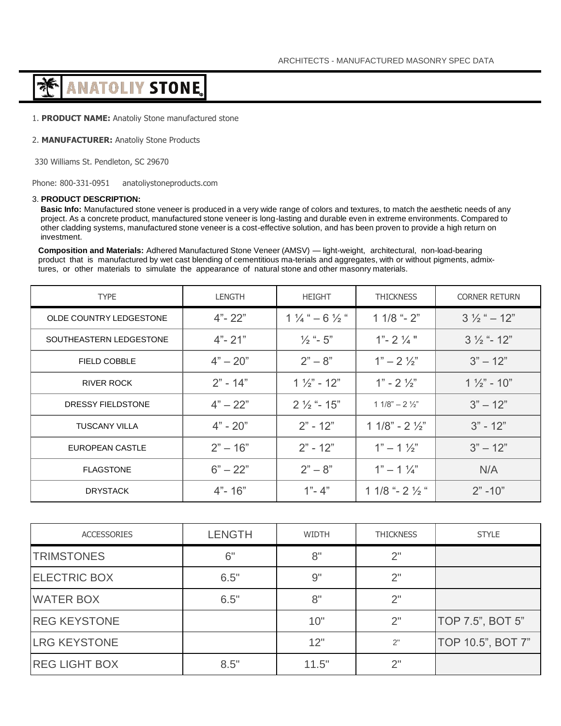# **ANATOLIY STONE** क़ॕ

1. **PRODUCT NAME:** Anatoliy Stone manufactured stone

# 2. **MANUFACTURER:** Anatoliy Stone Products

330 Williams St. Pendleton, SC 29670

Phone: 800-331-0951 anatoliystoneproducts.com

# 3. **PRODUCT DESCRIPTION:**

**Basic Info:** Manufactured stone veneer is produced in a very wide range of colors and textures, to match the aesthetic needs of any project. As a concrete product, manufactured stone veneer is long-lasting and durable even in extreme environments. Compared to other cladding systems, manufactured stone veneer is a cost-effective solution, and has been proven to provide a high return on investment.

**Composition and Materials:** Adhered Manufactured Stone Veneer (AMSV) — light-weight, architectural, non-load-bearing product that is manufactured by wet cast blending of cementitious ma-terials and aggregates, with or without pigments, admixtures, or other materials to simulate the appearance of natural stone and other masonry materials.

| <b>TYPE</b>             | LENGTH     | <b>HEIGHT</b>                      | <b>THICKNESS</b>           | <b>CORNER RETURN</b>     |
|-------------------------|------------|------------------------------------|----------------------------|--------------------------|
| OLDE COUNTRY LEDGESTONE | $4" - 22"$ | $1\frac{1}{4}$ " $-6\frac{1}{2}$ " | $11/8$ "- $2$ "            | $3\frac{1}{2}$ " $-12$ " |
| SOUTHEASTERN LEDGESTONE | $4" - 21"$ | $\frac{1}{2}$ "- 5"                | $1" - 2\frac{1}{4}"$       | $3\frac{1}{2}$ "- 12"    |
| <b>FIELD COBBLE</b>     | $4" - 20"$ | $2" - 8"$                          | $1" - 2\frac{1}{2}"$       | $3" - 12"$               |
| RIVER ROCK              | $2" - 14"$ | $1\frac{1}{2}$ - 12"               | $1" - 2\frac{1}{2}"$       | $1\frac{1}{2}$ " - 10"   |
| DRESSY FIELDSTONE       | $4" - 22"$ | $2\frac{1}{2}$ "- 15"              | $11/8" - 2\frac{1}{2}"$    | $3" - 12"$               |
| <b>TUSCANY VILLA</b>    | $4" - 20"$ | $2" - 12"$                         | $11/8" - 21/2"$            | $3" - 12"$               |
| EUROPEAN CASTLE         | $2" - 16"$ | $2" - 12"$                         | $1" - 1\frac{1}{2}"$       | $3" - 12"$               |
| <b>FLAGSTONE</b>        | $6" - 22"$ | $2" - 8"$                          | $1" - 1\frac{1}{4"$        | N/A                      |
| <b>DRYSTACK</b>         | $4" - 16"$ | $1" - 4"$                          | 1 1/8 "- 2 $\frac{1}{2}$ " | $2" -10"$                |

| <b>ACCESSORIES</b>   | <b>LENGTH</b> | <b>WIDTH</b> | <b>THICKNESS</b> | <b>STYLE</b>      |
|----------------------|---------------|--------------|------------------|-------------------|
| <b>TRIMSTONES</b>    | 6"            | 8"           | 2"               |                   |
| <b>ELECTRIC BOX</b>  | 6.5"          | 9"           | 2"               |                   |
| <b>WATER BOX</b>     | 6.5"          | 8"           | 2"               |                   |
| <b>REG KEYSTONE</b>  |               | 10"          | 2"               | TOP 7.5", BOT 5"  |
| <b>LRG KEYSTONE</b>  |               | 12"          | 2"               | TOP 10.5", BOT 7" |
| <b>REG LIGHT BOX</b> | 8.5"          | 11.5"        | 2"               |                   |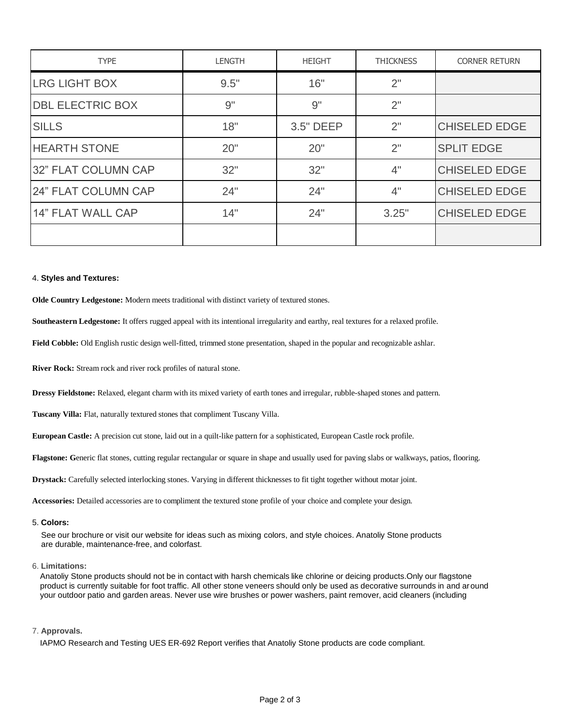| <b>TYPE</b>             | <b>LENGTH</b> | <b>HEIGHT</b> | <b>THICKNESS</b> | <b>CORNER RETURN</b> |
|-------------------------|---------------|---------------|------------------|----------------------|
| <b>LRG LIGHT BOX</b>    | 9.5"          | 16"           | 2"               |                      |
| <b>DBL ELECTRIC BOX</b> | 9"            | 9"            | 2"               |                      |
| <b>SILLS</b>            | 18"           | 3.5" DEEP     | 2"               | <b>CHISELED EDGE</b> |
| <b>HEARTH STONE</b>     | 20"           | 20"           | 2"               | <b>SPLIT EDGE</b>    |
| 32" FLAT COLUMN CAP     | 32"           | 32"           | 4"               | <b>CHISELED EDGE</b> |
| 24" FLAT COLUMN CAP     | 24"           | 24"           | 4"               | <b>CHISELED EDGE</b> |
| 14" FLAT WALL CAP       | 14"           | 24"           | 3.25"            | <b>CHISELED EDGE</b> |
|                         |               |               |                  |                      |

### 4. **Styles and Textures:**

**Olde Country Ledgestone:** Modern meets traditional with distinct variety of textured stones.

**Southeastern Ledgestone:** It offers rugged appeal with its intentional irregularity and earthy, real textures for a relaxed profile.

**Field Cobble:** Old English rustic design well-fitted, trimmed stone presentation, shaped in the popular and recognizable ashlar.

**River Rock:** Stream rock and river rock profiles of natural stone.

**Dressy Fieldstone:** Relaxed, elegant charm with its mixed variety of earth tones and irregular, rubble-shaped stones and pattern.

**Tuscany Villa:** Flat, naturally textured stones that compliment Tuscany Villa.

**European Castle:** A precision cut stone, laid out in a quilt-like pattern for a sophisticated, European Castle rock profile.

**Flagstone: G**eneric flat stones, cutting regular rectangular or square in shape and usually used for paving slabs or walkways, patios, flooring.

**Drystack:** Carefully selected interlocking stones. Varying in different thicknesses to fit tight together without motar joint.

**Accessories:** Detailed accessories are to compliment the textured stone profile of your choice and complete your design.

#### 5. **Colors:**

See our brochure or visit our website for ideas such as mixing colors, and style choices. Anatoliy Stone products are durable, maintenance-free, and colorfast.

# 6. **Limitations:**

Anatoliy Stone products should not be in contact with harsh chemicals like chlorine or deicing products.Only our flagstone product is currently suitable for foot traffic. All other stone veneers should only be used as decorative surrounds in and around your outdoor patio and garden areas. Never use wire brushes or power washers, paint remover, acid cleaners (including

### 7. **Approvals.**

IAPMO Research and Testing UES ER-692 Report verifies that Anatoliy Stone products are code compliant.